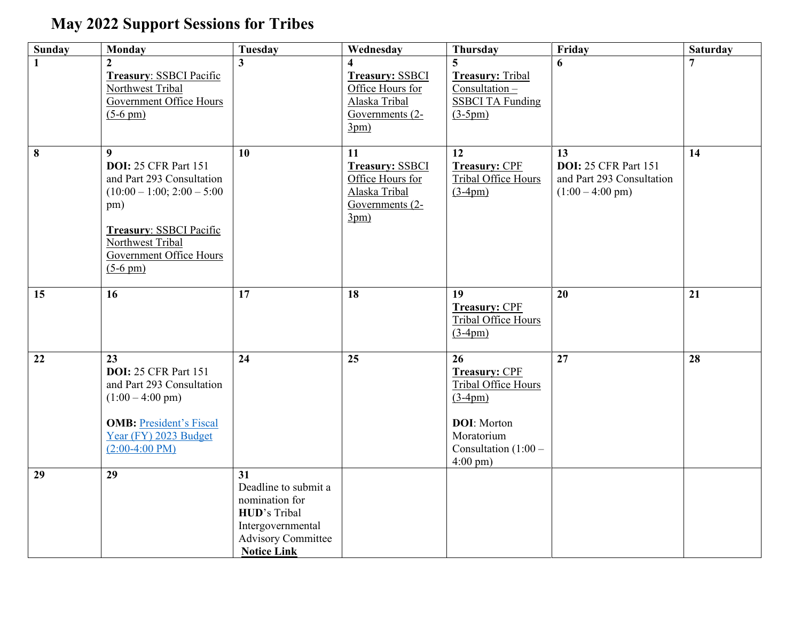## **May 2022 Support Sessions for Tribes**

| <b>Sunday</b> | <b>Monday</b>                                                                                                                                                                                  | <b>Tuesday</b>                                                                                                                              | Wednesday                                                                                    | <b>Thursday</b>                                                                                                                                            | Friday                                                                                       | <b>Saturday</b> |
|---------------|------------------------------------------------------------------------------------------------------------------------------------------------------------------------------------------------|---------------------------------------------------------------------------------------------------------------------------------------------|----------------------------------------------------------------------------------------------|------------------------------------------------------------------------------------------------------------------------------------------------------------|----------------------------------------------------------------------------------------------|-----------------|
| 1             | $\mathbf{2}$<br><b>Treasury: SSBCI Pacific</b><br>Northwest Tribal<br><b>Government Office Hours</b><br>$(5-6 \text{ pm})$                                                                     | 3                                                                                                                                           | <b>Treasury: SSBCI</b><br>Office Hours for<br>Alaska Tribal<br>Governments (2-<br>3pm)       | <b>Treasury: Tribal</b><br>$Consultation -$<br><b>SSBCI TA Funding</b><br>$(3-5pm)$                                                                        | 6                                                                                            | $\overline{7}$  |
| 8             | 9<br><b>DOI: 25 CFR Part 151</b><br>and Part 293 Consultation<br>$(10:00 - 1:00; 2:00 - 5:00)$<br>pm)<br>Treasury: SSBCI Pacific<br>Northwest Tribal<br>Government Office Hours<br>$(5-6)$ pm) | 10                                                                                                                                          | 11<br><b>Treasury: SSBCI</b><br>Office Hours for<br>Alaska Tribal<br>Governments (2-<br>3pm) | 12<br><b>Treasury: CPF</b><br>Tribal Office Hours<br>$(3-4pm)$                                                                                             | 13<br><b>DOI: 25 CFR Part 151</b><br>and Part 293 Consultation<br>$(1:00 - 4:00 \text{ pm})$ | 14              |
| 15            | 16                                                                                                                                                                                             | 17                                                                                                                                          | 18                                                                                           | 19<br><b>Treasury: CPF</b><br>Tribal Office Hours<br>$(3-4pm)$                                                                                             | 20                                                                                           | 21              |
| 22            | 23<br><b>DOI:</b> 25 CFR Part 151<br>and Part 293 Consultation<br>$(1:00 - 4:00 \text{ pm})$<br><b>OMB:</b> President's Fiscal<br>Year (FY) 2023 Budget<br>$(2:00-4:00 \text{ PM})$            | 24                                                                                                                                          | 25                                                                                           | 26<br><b>Treasury: CPF</b><br><b>Tribal Office Hours</b><br>$(3-4pm)$<br><b>DOI:</b> Morton<br>Moratorium<br>Consultation $(1:00 -$<br>$4:00 \text{ pm}$ ) | $\overline{27}$                                                                              | 28              |
| 29            | $\overline{29}$                                                                                                                                                                                | 31<br>Deadline to submit a<br>nomination for<br><b>HUD's Tribal</b><br>Intergovernmental<br><b>Advisory Committee</b><br><b>Notice Link</b> |                                                                                              |                                                                                                                                                            |                                                                                              |                 |